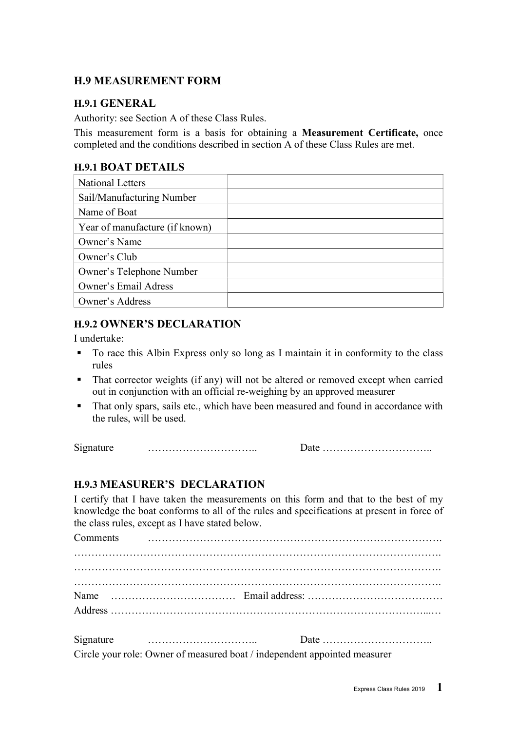### H.9 MEASUREMENT FORM

#### H.9.1 GENERAL

Authority: see Section A of these Class Rules.

This measurement form is a basis for obtaining a Measurement Certificate, once completed and the conditions described in section A of these Class Rules are met.

#### H.9.1 BOAT DETAILS

| <b>National Letters</b>        |  |
|--------------------------------|--|
| Sail/Manufacturing Number      |  |
| Name of Boat                   |  |
| Year of manufacture (if known) |  |
| Owner's Name                   |  |
| Owner's Club                   |  |
| Owner's Telephone Number       |  |
| <b>Owner's Email Adress</b>    |  |
| Owner's Address                |  |

#### H.9.2 OWNER'S DECLARATION

I undertake:

- To race this Albin Express only so long as I maintain it in conformity to the class rules
- That corrector weights (if any) will not be altered or removed except when carried out in conjunction with an official re-weighing by an approved measurer
- That only spars, sails etc., which have been measured and found in accordance with the rules, will be used.

Signature ………………………….. Date …………………………..

## H.9.3 MEASURER'S DECLARATION

I certify that I have taken the measurements on this form and that to the best of my knowledge the boat conforms to all of the rules and specifications at present in force of the class rules, except as I have stated below.

Comments …………………………………………………………………………. ……………………………………………………………………………………………. ……………………………………………………………………………………………. ……………………………………………………………………………………………. Name ……………………………… Email address: ………………………………… Address ………………………………………………………………………………...… Signature ………………………….. Date ………………………….. Circle your role: Owner of measured boat / independent appointed measurer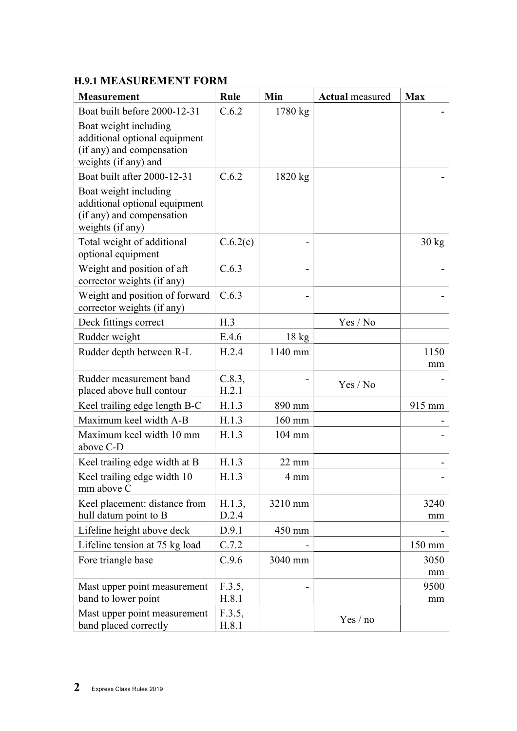# H.9.1 MEASUREMENT FORM

| <b>Measurement</b>                                                                                          | Rule            | Min              | <b>Actual</b> measured | <b>Max</b>       |
|-------------------------------------------------------------------------------------------------------------|-----------------|------------------|------------------------|------------------|
| Boat built before 2000-12-31                                                                                | C.6.2           | 1780 kg          |                        |                  |
| Boat weight including<br>additional optional equipment<br>(if any) and compensation<br>weights (if any) and |                 |                  |                        |                  |
| Boat built after 2000-12-31                                                                                 | C.6.2           | 1820 kg          |                        |                  |
| Boat weight including<br>additional optional equipment<br>(if any) and compensation<br>weights (if any)     |                 |                  |                        |                  |
| Total weight of additional<br>optional equipment                                                            | C.6.2(c)        |                  |                        | $30 \text{ kg}$  |
| Weight and position of aft<br>corrector weights (if any)                                                    | C.6.3           |                  |                        |                  |
| Weight and position of forward<br>corrector weights (if any)                                                | C.6.3           |                  |                        |                  |
| Deck fittings correct                                                                                       | H.3             |                  | Yes / No               |                  |
| Rudder weight                                                                                               | E.4.6           | $18 \text{ kg}$  |                        |                  |
| Rudder depth between R-L                                                                                    | H.2.4           | 1140 mm          |                        | 1150<br>mm       |
| Rudder measurement band<br>placed above hull contour                                                        | C.8.3,<br>H.2.1 |                  | Yes / No               |                  |
| Keel trailing edge length B-C                                                                               | H.1.3           | 890 mm           |                        | 915 mm           |
| Maximum keel width A-B                                                                                      | H.1.3           | $160$ mm         |                        |                  |
| Maximum keel width 10 mm<br>above C-D                                                                       | H.1.3           | $104 \text{ mm}$ |                        |                  |
| Keel trailing edge width at B                                                                               | H.1.3           | $22 \text{ mm}$  |                        |                  |
| Keel trailing edge width 10<br>mm above C                                                                   | H.1.3           | $4 \text{ mm}$   |                        |                  |
| Keel placement: distance from<br>hull datum point to B                                                      | H.1.3,<br>D.2.4 | 3210 mm          |                        | 3240<br>mm       |
| Lifeline height above deck                                                                                  | D.9.1           | 450 mm           |                        |                  |
| Lifeline tension at 75 kg load                                                                              | C.7.2           |                  |                        | $150 \text{ mm}$ |
| Fore triangle base                                                                                          | C.9.6           | 3040 mm          |                        | 3050             |
|                                                                                                             |                 |                  |                        | mm               |
| Mast upper point measurement                                                                                | F.3.5,          |                  |                        | 9500             |
| band to lower point                                                                                         | H.8.1           |                  |                        | mm               |
| Mast upper point measurement<br>band placed correctly                                                       | F.3.5,<br>H.8.1 |                  | Yes/no                 |                  |